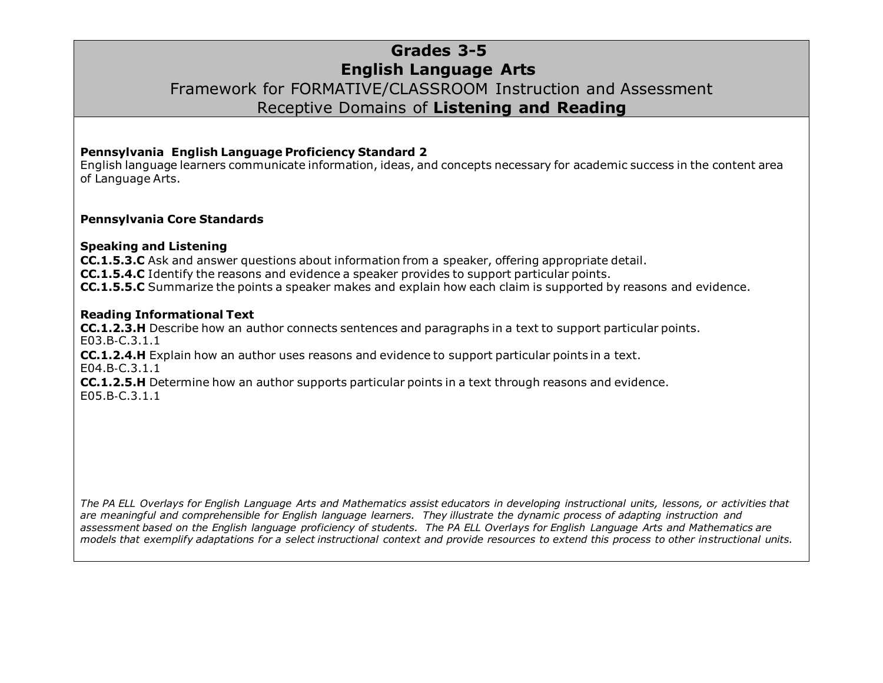## **Grades 3-5**

## **English Language Arts**

### Framework for FORMATIVE/CLASSROOM Instruction and Assessment Receptive Domains of **Listening and Reading**

#### **Pennsylvania English Language Proficiency Standard 2**

English language learners communicate information, ideas, and concepts necessary for academic success in the content area of Language Arts.

#### **Pennsylvania Core Standards**

#### **Speaking and Listening**

**CC.1.5.3.C** Ask and answer questions about information from a speaker, offering appropriate detail. **CC.1.5.4.C** Identify the reasons and evidence a speaker provides to support particular points. **CC.1.5.5.C** Summarize the points a speaker makes and explain how each claim is supported by reasons and evidence.

#### **Reading Informational Text**

**CC.1.2.3.H** Describe how an author connects sentences and paragraphs in a text to support particular points. E03.B‐C.3.1.1

**CC.1.2.4.H** Explain how an author uses reasons and evidence to support particular points in a text. E04.B‐C.3.1.1

**CC.1.2.5.H** Determine how an author supports particular points in a text through reasons and evidence. E05.B‐C.3.1.1

*The PA ELL Overlays for English Language Arts and Mathematics assist educators in developing instructional units, lessons, or activities that are meaningful and comprehensible for English language learners. They illustrate the dynamic process of adapting instruction and assessment based on the English language proficiency of students. The PA ELL Overlays for English Language Arts and Mathematics are models that exemplify adaptations for a select instructional context and provide resources to extend this process to other instructional units.*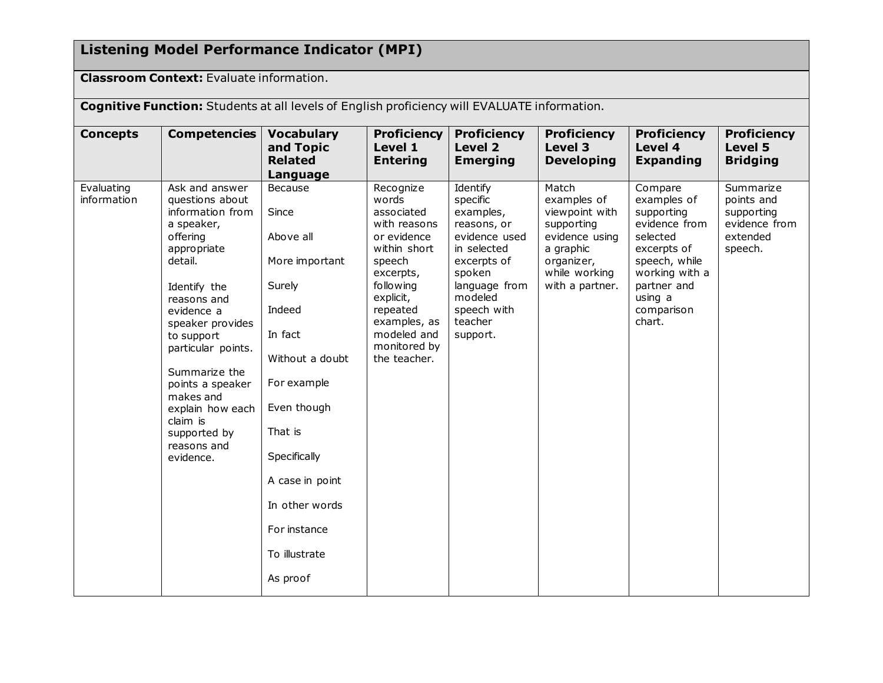# **Listening Model Performance Indicator (MPI)**

**Classroom Context:** Evaluate information.

**Cognitive Function:** Students at all levels of English proficiency will EVALUATE information.

| <b>Concepts</b>           | <b>Competencies</b>                                                                                                                                                                                                                                                                                                                          | <b>Vocabulary</b><br>and Topic<br><b>Related</b><br>Language                                                                                                                                                                                 | <b>Proficiency</b><br>Level 1<br><b>Entering</b>                                                                                                                                                            | <b>Proficiency</b><br><b>Level 2</b><br><b>Emerging</b>                                                                                                                     | <b>Proficiency</b><br><b>Level 3</b><br><b>Developing</b>                                                                             | <b>Proficiency</b><br>Level 4<br><b>Expanding</b>                                                                                                                     | <b>Proficiency</b><br>Level 5<br><b>Bridging</b>                              |
|---------------------------|----------------------------------------------------------------------------------------------------------------------------------------------------------------------------------------------------------------------------------------------------------------------------------------------------------------------------------------------|----------------------------------------------------------------------------------------------------------------------------------------------------------------------------------------------------------------------------------------------|-------------------------------------------------------------------------------------------------------------------------------------------------------------------------------------------------------------|-----------------------------------------------------------------------------------------------------------------------------------------------------------------------------|---------------------------------------------------------------------------------------------------------------------------------------|-----------------------------------------------------------------------------------------------------------------------------------------------------------------------|-------------------------------------------------------------------------------|
| Evaluating<br>information | Ask and answer<br>questions about<br>information from<br>a speaker,<br>offering<br>appropriate<br>detail.<br>Identify the<br>reasons and<br>evidence a<br>speaker provides<br>to support<br>particular points.<br>Summarize the<br>points a speaker<br>makes and<br>explain how each<br>claim is<br>supported by<br>reasons and<br>evidence. | Because<br>Since<br>Above all<br>More important<br>Surely<br>Indeed<br>In fact<br>Without a doubt<br>For example<br>Even though<br>That is<br>Specifically<br>A case in point<br>In other words<br>For instance<br>To illustrate<br>As proof | Recognize<br>words<br>associated<br>with reasons<br>or evidence<br>within short<br>speech<br>excerpts,<br>following<br>explicit,<br>repeated<br>examples, as<br>modeled and<br>monitored by<br>the teacher. | Identify<br>specific<br>examples,<br>reasons, or<br>evidence used<br>in selected<br>excerpts of<br>spoken<br>language from<br>modeled<br>speech with<br>teacher<br>support. | Match<br>examples of<br>viewpoint with<br>supporting<br>evidence using<br>a graphic<br>organizer,<br>while working<br>with a partner. | Compare<br>examples of<br>supporting<br>evidence from<br>selected<br>excerpts of<br>speech, while<br>working with a<br>partner and<br>using a<br>comparison<br>chart. | Summarize<br>points and<br>supporting<br>evidence from<br>extended<br>speech. |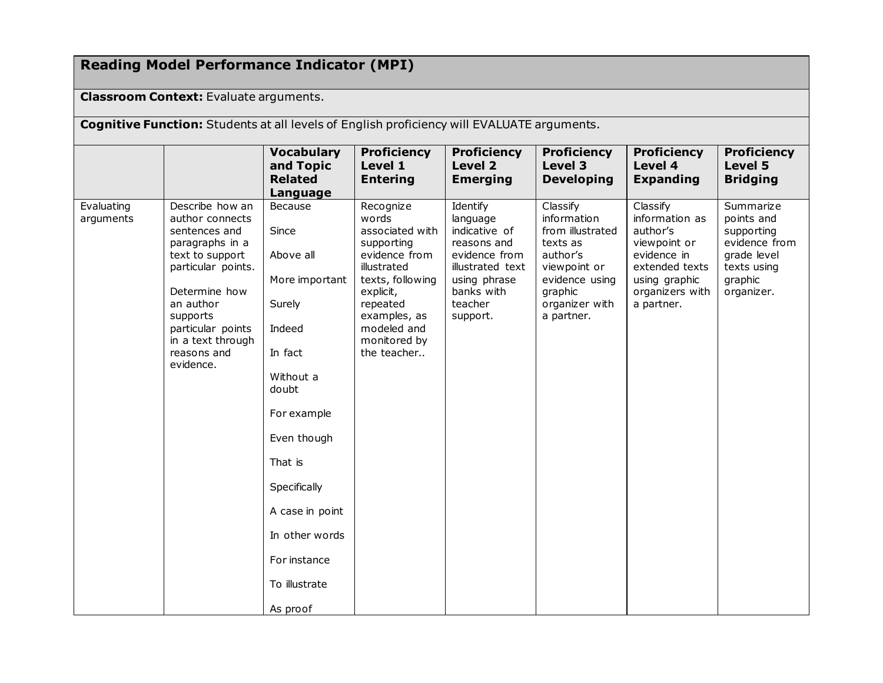# **Reading Model Performance Indicator (MPI)**

#### **Classroom Context:** Evaluate arguments.

**Cognitive Function:** Students at all levels of English proficiency will EVALUATE arguments.

|                         |                                                                                                                                                                                                                                 | <b>Vocabulary</b>                                                                                                                                                                                                                                      | <b>Proficiency</b>                                                                                                                                                                             | <b>Proficiency</b>                                                                                                                             | <b>Proficiency</b>                                                                                                                               | <b>Proficiency</b>                                                                                                                        | <b>Proficiency</b>                                                                                            |
|-------------------------|---------------------------------------------------------------------------------------------------------------------------------------------------------------------------------------------------------------------------------|--------------------------------------------------------------------------------------------------------------------------------------------------------------------------------------------------------------------------------------------------------|------------------------------------------------------------------------------------------------------------------------------------------------------------------------------------------------|------------------------------------------------------------------------------------------------------------------------------------------------|--------------------------------------------------------------------------------------------------------------------------------------------------|-------------------------------------------------------------------------------------------------------------------------------------------|---------------------------------------------------------------------------------------------------------------|
|                         |                                                                                                                                                                                                                                 | and Topic                                                                                                                                                                                                                                              | Level 1                                                                                                                                                                                        | Level 2                                                                                                                                        | Level 3                                                                                                                                          | Level 4                                                                                                                                   | Level 5                                                                                                       |
|                         |                                                                                                                                                                                                                                 | <b>Related</b>                                                                                                                                                                                                                                         | <b>Entering</b>                                                                                                                                                                                | <b>Emerging</b>                                                                                                                                | <b>Developing</b>                                                                                                                                | <b>Expanding</b>                                                                                                                          | <b>Bridging</b>                                                                                               |
|                         |                                                                                                                                                                                                                                 | Language                                                                                                                                                                                                                                               |                                                                                                                                                                                                |                                                                                                                                                |                                                                                                                                                  |                                                                                                                                           |                                                                                                               |
| Evaluating<br>arguments | Describe how an<br>author connects<br>sentences and<br>paragraphs in a<br>text to support<br>particular points.<br>Determine how<br>an author<br>supports<br>particular points<br>in a text through<br>reasons and<br>evidence. | <b>Because</b><br>Since<br>Above all<br>More important<br>Surely<br>Indeed<br>In fact<br>Without a<br>doubt<br>For example<br>Even though<br>That is<br>Specifically<br>A case in point<br>In other words<br>For instance<br>To illustrate<br>As proof | Recognize<br>words<br>associated with<br>supporting<br>evidence from<br>illustrated<br>texts, following<br>explicit,<br>repeated<br>examples, as<br>modeled and<br>monitored by<br>the teacher | Identify<br>language<br>indicative of<br>reasons and<br>evidence from<br>illustrated text<br>using phrase<br>banks with<br>teacher<br>support. | Classify<br>information<br>from illustrated<br>texts as<br>author's<br>viewpoint or<br>evidence using<br>graphic<br>organizer with<br>a partner. | Classify<br>information as<br>author's<br>viewpoint or<br>evidence in<br>extended texts<br>using graphic<br>organizers with<br>a partner. | Summarize<br>points and<br>supporting<br>evidence from<br>grade level<br>texts using<br>graphic<br>organizer. |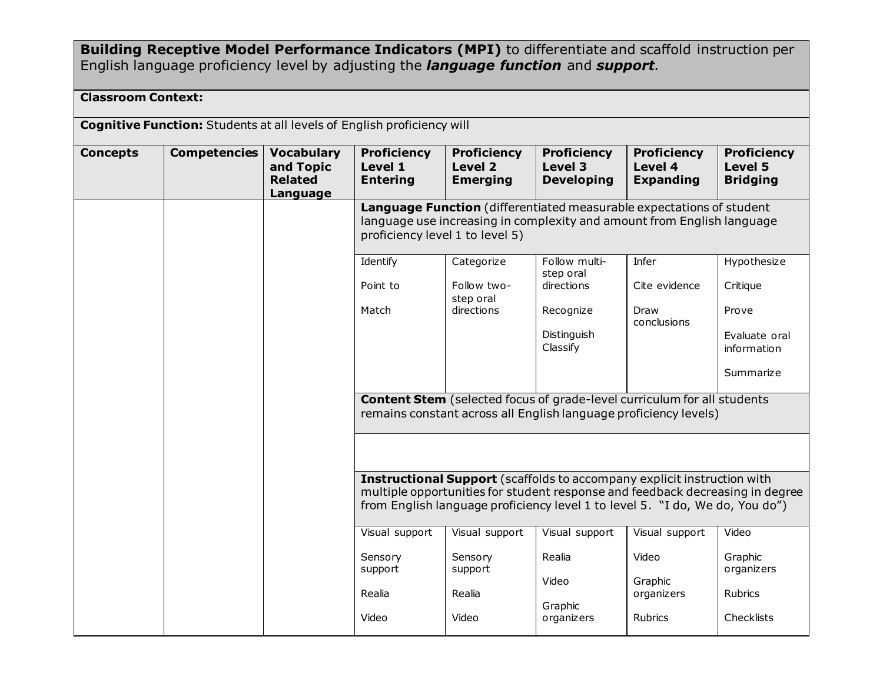**Building Receptive Model Performance Indicators (MPI)** to differentiate and scaffold instruction per English language proficiency level by adjusting the *language function* and *support.*

#### **Classroom Context:**

**Cognitive Function:** Students at all levels of English proficiency will

| <b>Concepts</b> | <b>Competencies</b> | <b>Vocabulary</b><br>and Topic<br><b>Related</b><br>Language | <b>Proficiency</b><br>Level 1<br><b>Entering</b>                                                                                                                                  | <b>Proficiency</b><br><b>Level 2</b><br><b>Emerging</b> | <b>Proficiency</b><br>Level 3<br><b>Developing</b>                                                                                                                                                                                       | <b>Proficiency</b><br>Level 4<br><b>Expanding</b> | <b>Proficiency</b><br>Level 5<br><b>Bridging</b> |  |  |
|-----------------|---------------------|--------------------------------------------------------------|-----------------------------------------------------------------------------------------------------------------------------------------------------------------------------------|---------------------------------------------------------|------------------------------------------------------------------------------------------------------------------------------------------------------------------------------------------------------------------------------------------|---------------------------------------------------|--------------------------------------------------|--|--|
|                 |                     |                                                              | Language Function (differentiated measurable expectations of student<br>language use increasing in complexity and amount from English language<br>proficiency level 1 to level 5) |                                                         |                                                                                                                                                                                                                                          |                                                   |                                                  |  |  |
|                 |                     |                                                              | Identify                                                                                                                                                                          | Categorize                                              | Follow multi-<br>step oral                                                                                                                                                                                                               | Infer                                             | Hypothesize                                      |  |  |
|                 |                     |                                                              | Point to                                                                                                                                                                          | Follow two-<br>step oral                                | directions                                                                                                                                                                                                                               | Cite evidence                                     | Critique                                         |  |  |
|                 |                     |                                                              | Match                                                                                                                                                                             | directions                                              | Recognize                                                                                                                                                                                                                                | Draw<br>conclusions                               | Prove                                            |  |  |
|                 |                     |                                                              |                                                                                                                                                                                   |                                                         | Distinguish<br>Classify                                                                                                                                                                                                                  |                                                   | Evaluate oral<br>information                     |  |  |
|                 |                     |                                                              |                                                                                                                                                                                   |                                                         |                                                                                                                                                                                                                                          |                                                   | Summarize                                        |  |  |
|                 |                     |                                                              |                                                                                                                                                                                   |                                                         | <b>Content Stem</b> (selected focus of grade-level curriculum for all students<br>remains constant across all English language proficiency levels)                                                                                       |                                                   |                                                  |  |  |
|                 |                     |                                                              |                                                                                                                                                                                   |                                                         |                                                                                                                                                                                                                                          |                                                   |                                                  |  |  |
|                 |                     |                                                              |                                                                                                                                                                                   |                                                         | Instructional Support (scaffolds to accompany explicit instruction with<br>multiple opportunities for student response and feedback decreasing in degree<br>from English language proficiency level 1 to level 5. "I do, We do, You do") |                                                   |                                                  |  |  |
|                 |                     |                                                              | Visual support                                                                                                                                                                    | Visual support                                          | Visual support                                                                                                                                                                                                                           | Visual support                                    | Video                                            |  |  |
|                 |                     |                                                              | Sensory<br>support                                                                                                                                                                | Sensory<br>support                                      | Realia                                                                                                                                                                                                                                   | Video                                             | Graphic<br>organizers                            |  |  |
|                 |                     |                                                              | Realia                                                                                                                                                                            | Realia                                                  | Video<br>Graphic                                                                                                                                                                                                                         | Graphic<br>organizers                             | Rubrics                                          |  |  |
|                 |                     |                                                              | Video                                                                                                                                                                             | Video                                                   | organizers                                                                                                                                                                                                                               | <b>Rubrics</b>                                    | Checklists                                       |  |  |